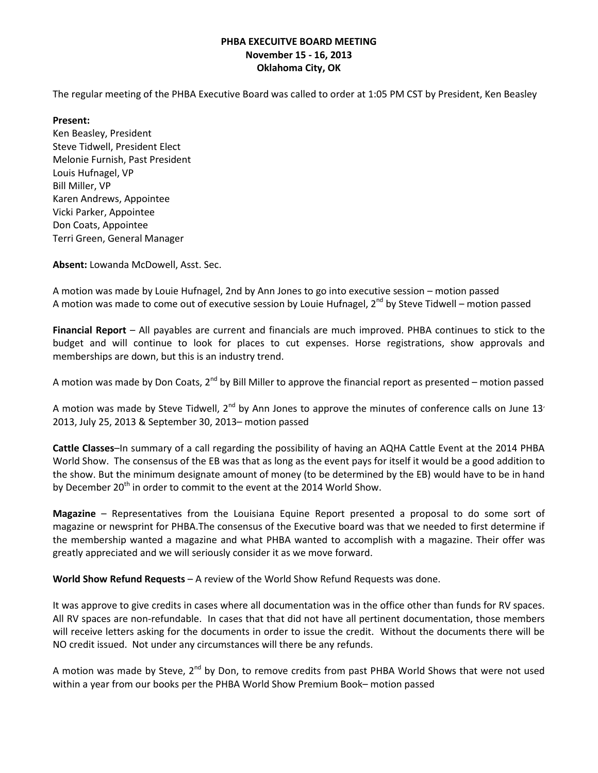The regular meeting of the PHBA Executive Board was called to order at 1:05 PM CST by President, Ken Beasley

### **Present:**

Ken Beasley, President Steve Tidwell, President Elect Melonie Furnish, Past President Louis Hufnagel, VP Bill Miller, VP Karen Andrews, Appointee Vicki Parker, Appointee Don Coats, Appointee Terri Green, General Manager

**Absent:** Lowanda McDowell, Asst. Sec.

A motion was made by Louie Hufnagel, 2nd by Ann Jones to go into executive session – motion passed A motion was made to come out of executive session by Louie Hufnagel,  $2^{nd}$  by Steve Tidwell – motion passed

**Financial Report** – All payables are current and financials are much improved. PHBA continues to stick to the budget and will continue to look for places to cut expenses. Horse registrations, show approvals and memberships are down, but this is an industry trend.

A motion was made by Don Coats,  $2^{nd}$  by Bill Miller to approve the financial report as presented – motion passed

A motion was made by Steve Tidwell,  $2^{nd}$  by Ann Jones to approve the minutes of conference calls on June 13' 2013, July 25, 2013 & September 30, 2013– motion passed

**Cattle Classes**–In summary of a call regarding the possibility of having an AQHA Cattle Event at the 2014 PHBA World Show. The consensus of the EB was that as long as the event pays for itself it would be a good addition to the show. But the minimum designate amount of money (to be determined by the EB) would have to be in hand by December 20<sup>th</sup> in order to commit to the event at the 2014 World Show.

**Magazine** – Representatives from the Louisiana Equine Report presented a proposal to do some sort of magazine or newsprint for PHBA.The consensus of the Executive board was that we needed to first determine if the membership wanted a magazine and what PHBA wanted to accomplish with a magazine. Their offer was greatly appreciated and we will seriously consider it as we move forward.

**World Show Refund Requests** – A review of the World Show Refund Requests was done.

It was approve to give credits in cases where all documentation was in the office other than funds for RV spaces. All RV spaces are non-refundable. In cases that that did not have all pertinent documentation, those members will receive letters asking for the documents in order to issue the credit. Without the documents there will be NO credit issued. Not under any circumstances will there be any refunds.

A motion was made by Steve,  $2^{nd}$  by Don, to remove credits from past PHBA World Shows that were not used within a year from our books per the PHBA World Show Premium Book– motion passed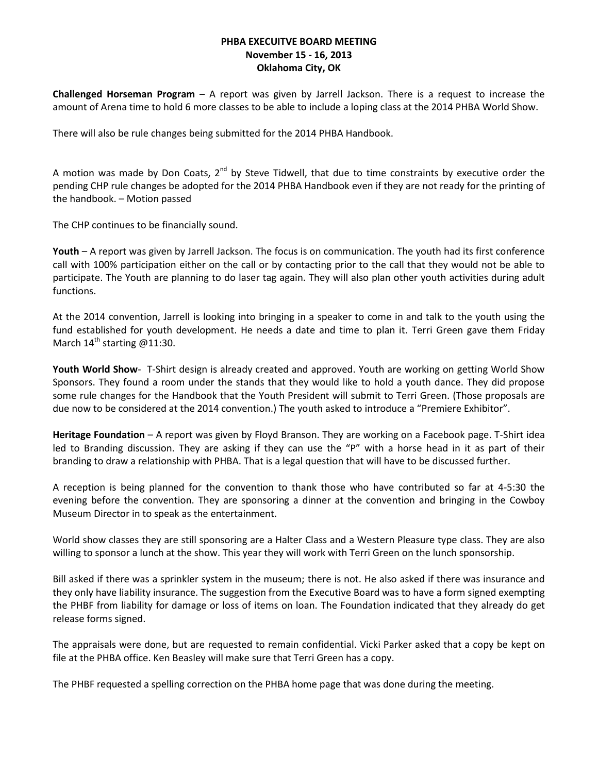**Challenged Horseman Program** – A report was given by Jarrell Jackson. There is a request to increase the amount of Arena time to hold 6 more classes to be able to include a loping class at the 2014 PHBA World Show.

There will also be rule changes being submitted for the 2014 PHBA Handbook.

A motion was made by Don Coats,  $2^{nd}$  by Steve Tidwell, that due to time constraints by executive order the pending CHP rule changes be adopted for the 2014 PHBA Handbook even if they are not ready for the printing of the handbook. – Motion passed

The CHP continues to be financially sound.

**Youth** – A report was given by Jarrell Jackson. The focus is on communication. The youth had its first conference call with 100% participation either on the call or by contacting prior to the call that they would not be able to participate. The Youth are planning to do laser tag again. They will also plan other youth activities during adult functions.

At the 2014 convention, Jarrell is looking into bringing in a speaker to come in and talk to the youth using the fund established for youth development. He needs a date and time to plan it. Terri Green gave them Friday March  $14^{th}$  starting @11:30.

**Youth World Show**- T-Shirt design is already created and approved. Youth are working on getting World Show Sponsors. They found a room under the stands that they would like to hold a youth dance. They did propose some rule changes for the Handbook that the Youth President will submit to Terri Green. (Those proposals are due now to be considered at the 2014 convention.) The youth asked to introduce a "Premiere Exhibitor".

**Heritage Foundation** – A report was given by Floyd Branson. They are working on a Facebook page. T-Shirt idea led to Branding discussion. They are asking if they can use the "P" with a horse head in it as part of their branding to draw a relationship with PHBA. That is a legal question that will have to be discussed further.

A reception is being planned for the convention to thank those who have contributed so far at 4-5:30 the evening before the convention. They are sponsoring a dinner at the convention and bringing in the Cowboy Museum Director in to speak as the entertainment.

World show classes they are still sponsoring are a Halter Class and a Western Pleasure type class. They are also willing to sponsor a lunch at the show. This year they will work with Terri Green on the lunch sponsorship.

Bill asked if there was a sprinkler system in the museum; there is not. He also asked if there was insurance and they only have liability insurance. The suggestion from the Executive Board was to have a form signed exempting the PHBF from liability for damage or loss of items on loan. The Foundation indicated that they already do get release forms signed.

The appraisals were done, but are requested to remain confidential. Vicki Parker asked that a copy be kept on file at the PHBA office. Ken Beasley will make sure that Terri Green has a copy.

The PHBF requested a spelling correction on the PHBA home page that was done during the meeting.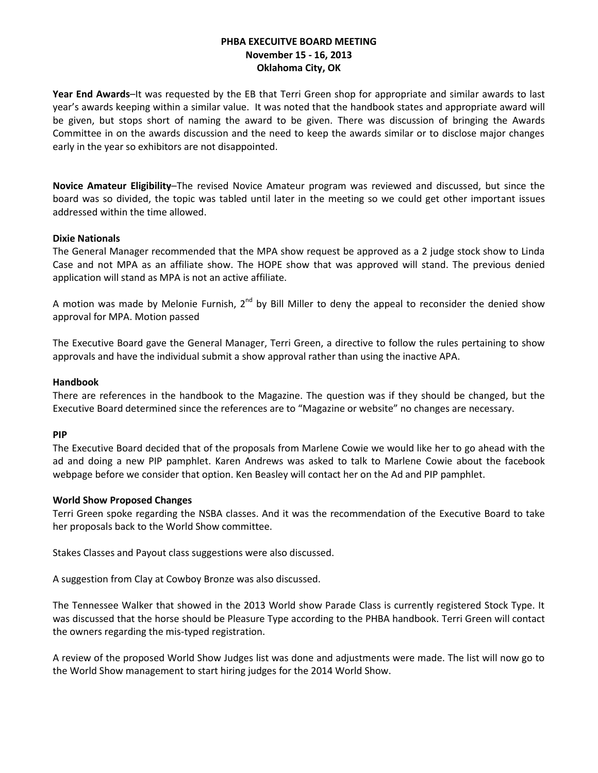**Year End Awards**–It was requested by the EB that Terri Green shop for appropriate and similar awards to last year's awards keeping within a similar value. It was noted that the handbook states and appropriate award will be given, but stops short of naming the award to be given. There was discussion of bringing the Awards Committee in on the awards discussion and the need to keep the awards similar or to disclose major changes early in the year so exhibitors are not disappointed.

**Novice Amateur Eligibility**–The revised Novice Amateur program was reviewed and discussed, but since the board was so divided, the topic was tabled until later in the meeting so we could get other important issues addressed within the time allowed.

### **Dixie Nationals**

The General Manager recommended that the MPA show request be approved as a 2 judge stock show to Linda Case and not MPA as an affiliate show. The HOPE show that was approved will stand. The previous denied application will stand as MPA is not an active affiliate.

A motion was made by Melonie Furnish,  $2^{nd}$  by Bill Miller to deny the appeal to reconsider the denied show approval for MPA. Motion passed

The Executive Board gave the General Manager, Terri Green, a directive to follow the rules pertaining to show approvals and have the individual submit a show approval rather than using the inactive APA.

#### **Handbook**

There are references in the handbook to the Magazine. The question was if they should be changed, but the Executive Board determined since the references are to "Magazine or website" no changes are necessary.

#### **PIP**

The Executive Board decided that of the proposals from Marlene Cowie we would like her to go ahead with the ad and doing a new PIP pamphlet. Karen Andrews was asked to talk to Marlene Cowie about the facebook webpage before we consider that option. Ken Beasley will contact her on the Ad and PIP pamphlet.

#### **World Show Proposed Changes**

Terri Green spoke regarding the NSBA classes. And it was the recommendation of the Executive Board to take her proposals back to the World Show committee.

Stakes Classes and Payout class suggestions were also discussed.

A suggestion from Clay at Cowboy Bronze was also discussed.

The Tennessee Walker that showed in the 2013 World show Parade Class is currently registered Stock Type. It was discussed that the horse should be Pleasure Type according to the PHBA handbook. Terri Green will contact the owners regarding the mis-typed registration.

A review of the proposed World Show Judges list was done and adjustments were made. The list will now go to the World Show management to start hiring judges for the 2014 World Show.